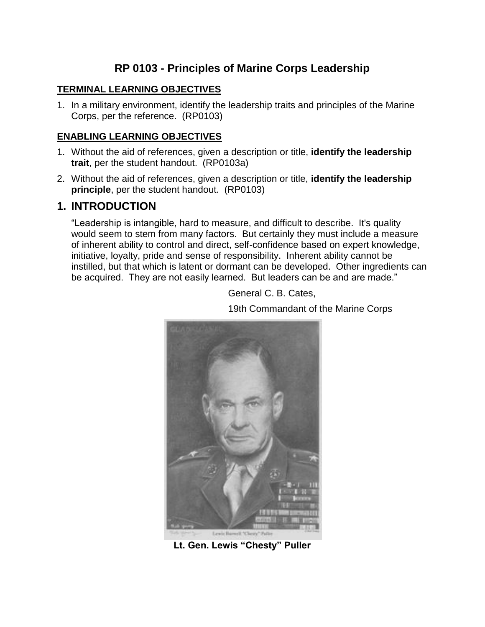# **RP 0103 - Principles of Marine Corps Leadership**

#### **TERMINAL LEARNING OBJECTIVES**

1. In a military environment, identify the leadership traits and principles of the Marine Corps, per the reference. (RP0103)

#### **ENABLING LEARNING OBJECTIVES**

- 1. Without the aid of references, given a description or title, **identify the leadership trait**, per the student handout. (RP0103a)
- 2. Without the aid of references, given a description or title, **identify the leadership principle**, per the student handout. (RP0103)

### **1. INTRODUCTION**

"Leadership is intangible, hard to measure, and difficult to describe. It's quality would seem to stem from many factors. But certainly they must include a measure of inherent ability to control and direct, self-confidence based on expert knowledge, initiative, loyalty, pride and sense of responsibility. Inherent ability cannot be instilled, but that which is latent or dormant can be developed. Other ingredients can be acquired. They are not easily learned. But leaders can be and are made."

General C. B. Cates,

19th Commandant of the Marine Corps



**Lt. Gen. Lewis "Chesty" Puller**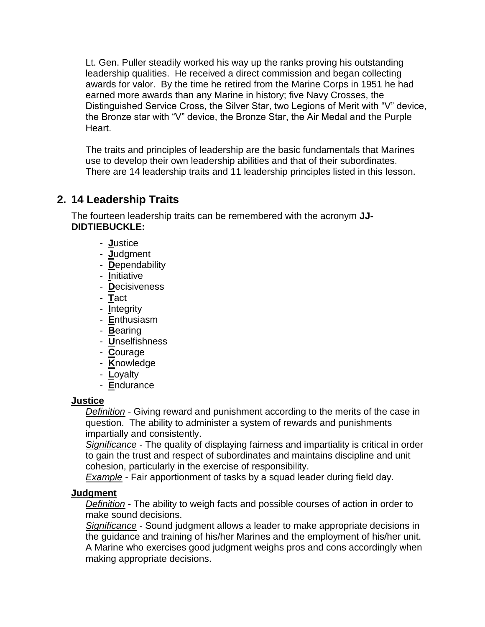Lt. Gen. Puller steadily worked his way up the ranks proving his outstanding leadership qualities. He received a direct commission and began collecting awards for valor. By the time he retired from the Marine Corps in 1951 he had earned more awards than any Marine in history; five Navy Crosses, the Distinguished Service Cross, the Silver Star, two Legions of Merit with "V" device, the Bronze star with "V" device, the Bronze Star, the Air Medal and the Purple Heart.

The traits and principles of leadership are the basic fundamentals that Marines use to develop their own leadership abilities and that of their subordinates. There are 14 leadership traits and 11 leadership principles listed in this lesson.

# **2. 14 Leadership Traits**

The fourteen leadership traits can be remembered with the acronym **JJ-DIDTIEBUCKLE:** 

- - **J**ustice
- - **J**udgment
- **D**ependability
- **I**nitiative
- - **D**ecisiveness
- - **T**act
- - **I**ntegrity
- - **E**nthusiasm
- - **B**earing
- - **U**nselfishness
- - **C**ourage
- - **K**nowledge
- **L**oyalty
- **E**ndurance

## **Justice**

*Definition* - Giving reward and punishment according to the merits of the case in question. The ability to administer a system of rewards and punishments impartially and consistently.

*Significance* - The quality of displaying fairness and impartiality is critical in order to gain the trust and respect of subordinates and maintains discipline and unit cohesion, particularly in the exercise of responsibility.

*Example* - Fair apportionment of tasks by a squad leader during field day.

# **Judgment**

*Definition* - The ability to weigh facts and possible courses of action in order to make sound decisions.

*Significance* - Sound judgment allows a leader to make appropriate decisions in the guidance and training of his/her Marines and the employment of his/her unit. A Marine who exercises good judgment weighs pros and cons accordingly when making appropriate decisions.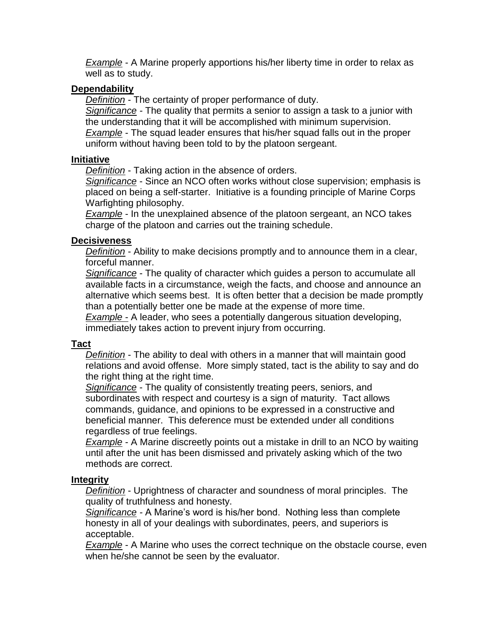*Example* - A Marine properly apportions his/her liberty time in order to relax as well as to study.

#### **Dependability**

*Definition* - The certainty of proper performance of duty.

*Significance -* The quality that permits a senior to assign a task to a junior with the understanding that it will be accomplished with minimum supervision. *Example* - The squad leader ensures that his/her squad falls out in the proper uniform without having been told to by the platoon sergeant.

#### **Initiative**

*Definition* - Taking action in the absence of orders.

*Significance* - Since an NCO often works without close supervision; emphasis is placed on being a self-starter. Initiative is a founding principle of Marine Corps Warfighting philosophy.

*Example* - In the unexplained absence of the platoon sergeant, an NCO takes charge of the platoon and carries out the training schedule.

### **Decisiveness**

*Definition* - Ability to make decisions promptly and to announce them in a clear, forceful manner.

*Significance* - The quality of character which guides a person to accumulate all available facts in a circumstance, weigh the facts, and choose and announce an alternative which seems best. It is often better that a decision be made promptly than a potentially better one be made at the expense of more time.

*Example* - A leader, who sees a potentially dangerous situation developing, immediately takes action to prevent injury from occurring.

#### **Tact**

*Definition* - The ability to deal with others in a manner that will maintain good relations and avoid offense. More simply stated, tact is the ability to say and do the right thing at the right time.

*Significance* - The quality of consistently treating peers, seniors, and subordinates with respect and courtesy is a sign of maturity. Tact allows commands, guidance, and opinions to be expressed in a constructive and beneficial manner. This deference must be extended under all conditions regardless of true feelings.

*Example* - A Marine discreetly points out a mistake in drill to an NCO by waiting until after the unit has been dismissed and privately asking which of the two methods are correct.

#### **Integrity**

*Definition* - Uprightness of character and soundness of moral principles. The quality of truthfulness and honesty.

*Significance -* A Marine's word is his/her bond. Nothing less than complete honesty in all of your dealings with subordinates, peers, and superiors is acceptable.

*Example* - A Marine who uses the correct technique on the obstacle course, even when he/she cannot be seen by the evaluator.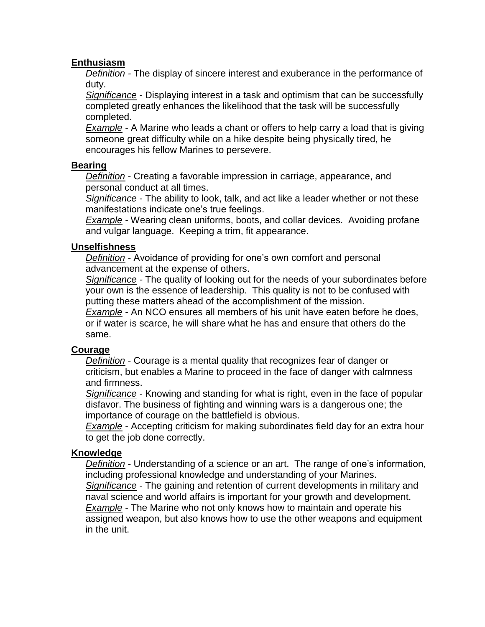### **Enthusiasm**

*Definition -* The display of sincere interest and exuberance in the performance of duty.

*Significance* - Displaying interest in a task and optimism that can be successfully completed greatly enhances the likelihood that the task will be successfully completed.

*Example* - A Marine who leads a chant or offers to help carry a load that is giving someone great difficulty while on a hike despite being physically tired, he encourages his fellow Marines to persevere.

### **Bearing**

*Definition* - Creating a favorable impression in carriage, appearance, and personal conduct at all times.

*Significance* - The ability to look, talk, and act like a leader whether or not these manifestations indicate one's true feelings.

*Example* - Wearing clean uniforms, boots, and collar devices. Avoiding profane and vulgar language. Keeping a trim, fit appearance.

#### **Unselfishness**

*Definition* - Avoidance of providing for one's own comfort and personal advancement at the expense of others.

*Significance -* The quality of looking out for the needs of your subordinates before your own is the essence of leadership. This quality is not to be confused with putting these matters ahead of the accomplishment of the mission.

*Example* - An NCO ensures all members of his unit have eaten before he does, or if water is scarce, he will share what he has and ensure that others do the same.

## **Courage**

*Definition* - Courage is a mental quality that recognizes fear of danger or criticism, but enables a Marine to proceed in the face of danger with calmness and firmness.

*Significance* - Knowing and standing for what is right, even in the face of popular disfavor. The business of fighting and winning wars is a dangerous one; the importance of courage on the battlefield is obvious.

*Example* - Accepting criticism for making subordinates field day for an extra hour to get the job done correctly.

#### **Knowledge**

*Definition* - Understanding of a science or an art. The range of one's information, including professional knowledge and understanding of your Marines. *Significance* - The gaining and retention of current developments in military and naval science and world affairs is important for your growth and development. *Example* - The Marine who not only knows how to maintain and operate his assigned weapon, but also knows how to use the other weapons and equipment in the unit.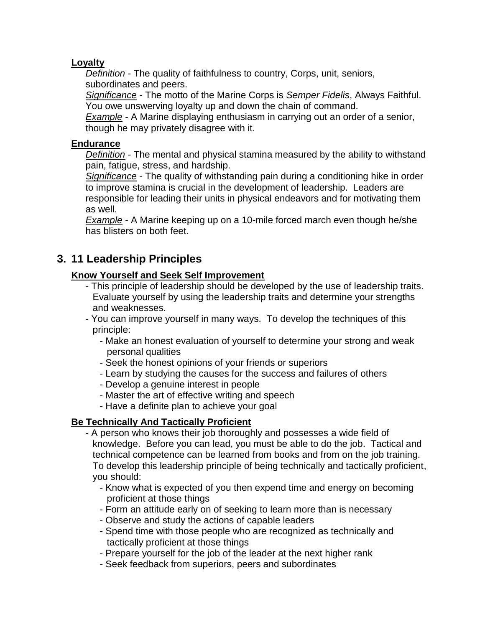## **Loyalty**

*Definition* - The quality of faithfulness to country, Corps, unit, seniors, subordinates and peers.

*Significance* - The motto of the Marine Corps is *Semper Fidelis*, Always Faithful. You owe unswerving loyalty up and down the chain of command.

*Example* - A Marine displaying enthusiasm in carrying out an order of a senior, though he may privately disagree with it.

#### **Endurance**

*Definition* - The mental and physical stamina measured by the ability to withstand pain, fatigue, stress, and hardship.

*Significance* - The quality of withstanding pain during a conditioning hike in order to improve stamina is crucial in the development of leadership. Leaders are responsible for leading their units in physical endeavors and for motivating them as well.

*Example* - A Marine keeping up on a 10-mile forced march even though he/she has blisters on both feet.

# **3. 11 Leadership Principles**

#### **Know Yourself and Seek Self Improvement**

- This principle of leadership should be developed by the use of leadership traits. Evaluate yourself by using the leadership traits and determine your strengths and weaknesses.
- You can improve yourself in many ways. To develop the techniques of this principle:
	- Make an honest evaluation of yourself to determine your strong and weak personal qualities
	- Seek the honest opinions of your friends or superiors
	- Learn by studying the causes for the success and failures of others
	- Develop a genuine interest in people
	- Master the art of effective writing and speech
	- Have a definite plan to achieve your goal

## **Be Technically And Tactically Proficient**

- A person who knows their job thoroughly and possesses a wide field of knowledge. Before you can lead, you must be able to do the job. Tactical and technical competence can be learned from books and from on the job training. To develop this leadership principle of being technically and tactically proficient, you should:
	- Know what is expected of you then expend time and energy on becoming proficient at those things
	- Form an attitude early on of seeking to learn more than is necessary
	- Observe and study the actions of capable leaders
	- Spend time with those people who are recognized as technically and tactically proficient at those things
	- Prepare yourself for the job of the leader at the next higher rank
	- Seek feedback from superiors, peers and subordinates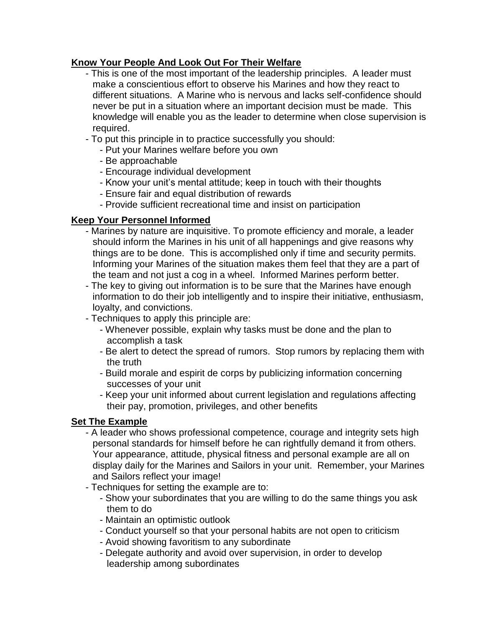## **Know Your People And Look Out For Their Welfare**

- This is one of the most important of the leadership principles. A leader must make a conscientious effort to observe his Marines and how they react to different situations. A Marine who is nervous and lacks self-confidence should never be put in a situation where an important decision must be made. This knowledge will enable you as the leader to determine when close supervision is required.
- To put this principle in to practice successfully you should:
	- Put your Marines welfare before you own
	- Be approachable
	- Encourage individual development
	- Know your unit's mental attitude; keep in touch with their thoughts
	- Ensure fair and equal distribution of rewards
	- Provide sufficient recreational time and insist on participation

# **Keep Your Personnel Informed**

- Marines by nature are inquisitive. To promote efficiency and morale, a leader should inform the Marines in his unit of all happenings and give reasons why things are to be done. This is accomplished only if time and security permits. Informing your Marines of the situation makes them feel that they are a part of the team and not just a cog in a wheel. Informed Marines perform better.
- The key to giving out information is to be sure that the Marines have enough information to do their job intelligently and to inspire their initiative, enthusiasm, loyalty, and convictions.
- Techniques to apply this principle are:
	- Whenever possible, explain why tasks must be done and the plan to accomplish a task
	- Be alert to detect the spread of rumors. Stop rumors by replacing them with the truth
	- Build morale and espirit de corps by publicizing information concerning successes of your unit
	- Keep your unit informed about current legislation and regulations affecting their pay, promotion, privileges, and other benefits

# **Set The Example**

- A leader who shows professional competence, courage and integrity sets high personal standards for himself before he can rightfully demand it from others. Your appearance, attitude, physical fitness and personal example are all on display daily for the Marines and Sailors in your unit. Remember, your Marines and Sailors reflect your image!
- Techniques for setting the example are to:
	- Show your subordinates that you are willing to do the same things you ask them to do
	- Maintain an optimistic outlook
	- Conduct yourself so that your personal habits are not open to criticism
	- Avoid showing favoritism to any subordinate
	- Delegate authority and avoid over supervision, in order to develop leadership among subordinates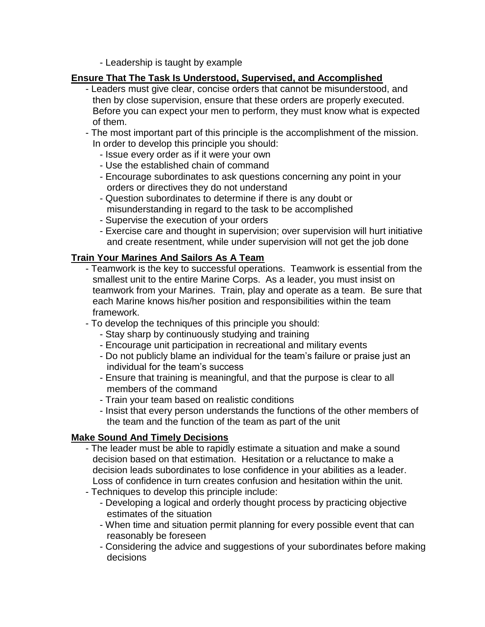- Leadership is taught by example

### **Ensure That The Task Is Understood, Supervised, and Accomplished**

- Leaders must give clear, concise orders that cannot be misunderstood, and then by close supervision, ensure that these orders are properly executed. Before you can expect your men to perform, they must know what is expected of them.
- The most important part of this principle is the accomplishment of the mission. In order to develop this principle you should:
	- Issue every order as if it were your own
	- Use the established chain of command
	- Encourage subordinates to ask questions concerning any point in your orders or directives they do not understand
	- Question subordinates to determine if there is any doubt or misunderstanding in regard to the task to be accomplished
	- Supervise the execution of your orders
	- Exercise care and thought in supervision; over supervision will hurt initiative and create resentment, while under supervision will not get the job done

### **Train Your Marines And Sailors As A Team**

- Teamwork is the key to successful operations. Teamwork is essential from the smallest unit to the entire Marine Corps. As a leader, you must insist on teamwork from your Marines. Train, play and operate as a team. Be sure that each Marine knows his/her position and responsibilities within the team framework.
- To develop the techniques of this principle you should:
	- Stay sharp by continuously studying and training
	- Encourage unit participation in recreational and military events
	- Do not publicly blame an individual for the team's failure or praise just an individual for the team's success
	- Ensure that training is meaningful, and that the purpose is clear to all members of the command
	- Train your team based on realistic conditions
	- Insist that every person understands the functions of the other members of the team and the function of the team as part of the unit

## **Make Sound And Timely Decisions**

- The leader must be able to rapidly estimate a situation and make a sound decision based on that estimation. Hesitation or a reluctance to make a decision leads subordinates to lose confidence in your abilities as a leader. Loss of confidence in turn creates confusion and hesitation within the unit.
- Techniques to develop this principle include:
	- Developing a logical and orderly thought process by practicing objective estimates of the situation
	- When time and situation permit planning for every possible event that can reasonably be foreseen
	- Considering the advice and suggestions of your subordinates before making decisions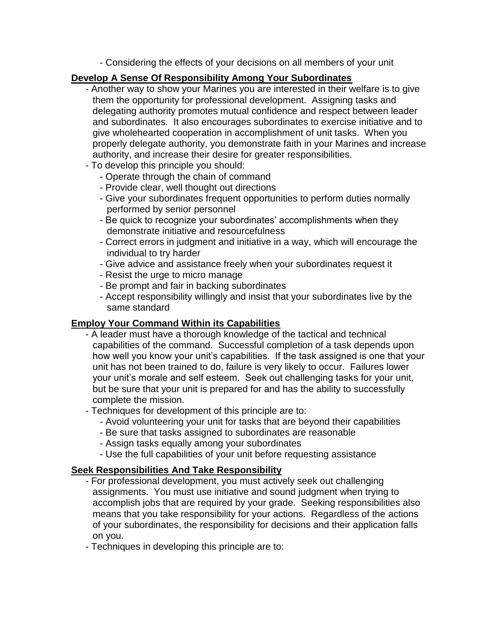- Considering the effects of your decisions on all members of your unit

### **Develop A Sense Of Responsibility Among Your Subordinates**

- Another way to show your Marines you are interested in their welfare is to give them the opportunity for professional development. Assigning tasks and delegating authority promotes mutual confidence and respect between leader and subordinates*.* It also encourages subordinates to exercise initiative and to give wholehearted cooperation in accomplishment of unit tasks. When you properly delegate authority, you demonstrate faith in your Marines and increase authority, and increase their desire for greater responsibilities.
- To develop this principle you should:
	- Operate through the chain of command
	- Provide clear, well thought out directions
	- Give your subordinates frequent opportunities to perform duties normally performed by senior personnel
	- Be quick to recognize your subordinates' accomplishments when they demonstrate initiative and resourcefulness
	- Correct errors in judgment and initiative in a way, which will encourage the individual to try harder
	- Give advice and assistance freely when your subordinates request it
	- Resist the urge to micro manage
	- Be prompt and fair in backing subordinates
	- Accept responsibility willingly and insist that your subordinates live by the same standard

## **Employ Your Command Within its Capabilities**

- A leader must have a thorough knowledge of the tactical and technical capabilities of the command. Successful completion of a task depends upon how well you know your unit's capabilities. If the task assigned is one that your unit has not been trained to do, failure is very likely to occur. Failures lower your unit's morale and self esteem. Seek out challenging tasks for your unit, but be sure that your unit is prepared for and has the ability to successfully complete the mission.
- Techniques for development of this principle are to:
	- Avoid volunteering your unit for tasks that are beyond their capabilities
	- Be sure that tasks assigned to subordinates are reasonable
	- Assign tasks equally among your subordinates
	- Use the full capabilities of your unit before requesting assistance

## **Seek Responsibilities And Take Responsibility**

- For professional development, you must actively seek out challenging assignments. You must use initiative and sound judgment when trying to accomplish jobs that are required by your grade. Seeking responsibilities also means that you take responsibility for your actions. Regardless of the actions of your subordinates, the responsibility for decisions and their application falls on you.
- Techniques in developing this principle are to: